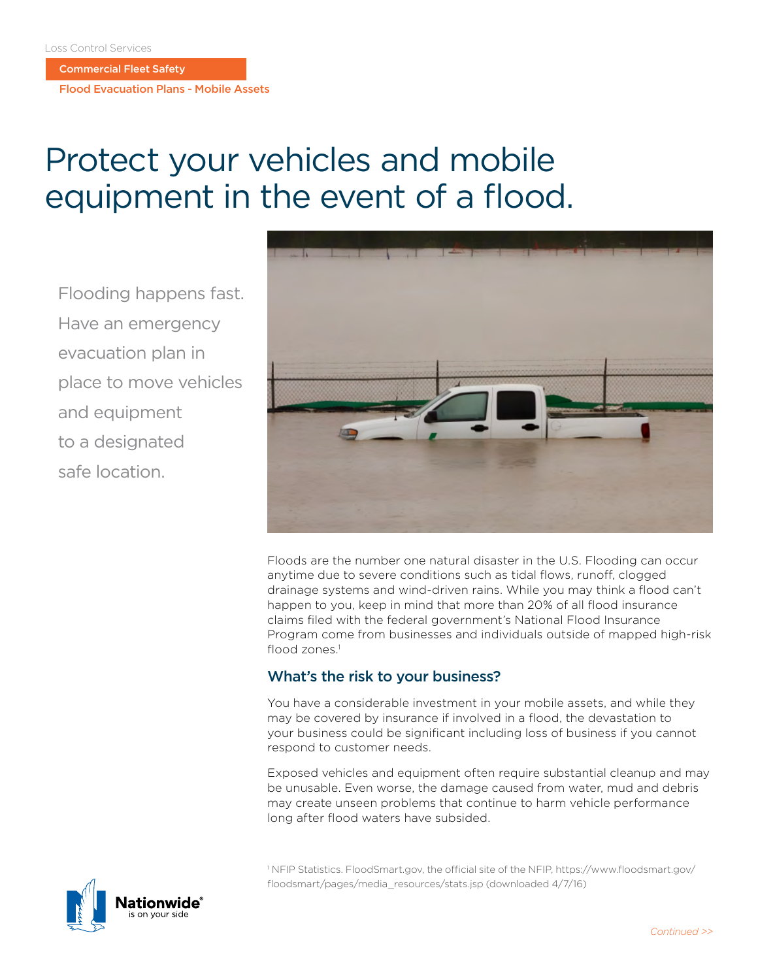Commercial Fleet Safety

Flood Evacuation Plans - Mobile Assets

# Protect your vehicles and mobile equipment in the event of a flood.

Flooding happens fast. Have an emergency evacuation plan in place to move vehicles and equipment to a designated safe location.



Floods are the number one natural disaster in the U.S. Flooding can occur anytime due to severe conditions such as tidal flows, runoff, clogged drainage systems and wind-driven rains. While you may think a flood can't happen to you, keep in mind that more than 20% of all flood insurance claims filed with the federal government's National Flood Insurance Program come from businesses and individuals outside of mapped high-risk flood zones. $<sup>1</sup>$ </sup>

# What's the risk to your business?

You have a considerable investment in your mobile assets, and while they may be covered by insurance if involved in a flood, the devastation to your business could be significant including loss of business if you cannot respond to customer needs.

Exposed vehicles and equipment often require substantial cleanup and may be unusable. Even worse, the damage caused from water, mud and debris may create unseen problems that continue to harm vehicle performance long after flood waters have subsided.

1 NFIP Statistics. FloodSmart.gov, the official site of the NFIP, https://www.floodsmart.gov/ floodsmart/pages/media\_resources/stats.jsp (downloaded 4/7/16)

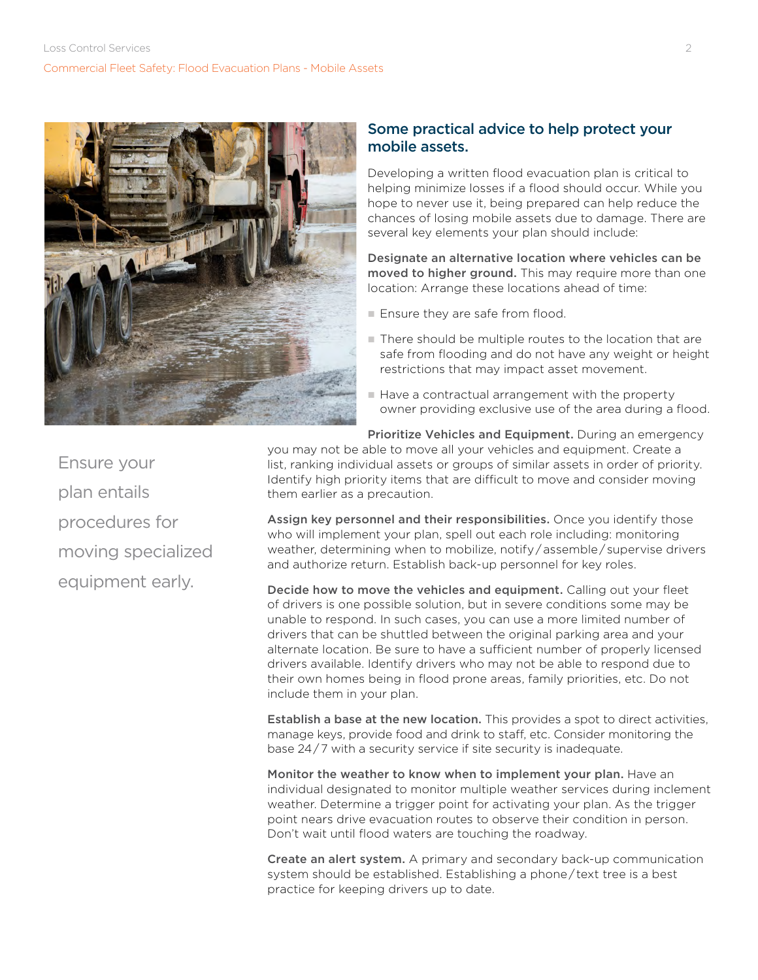

### Some practical advice to help protect your mobile assets.

Developing a written flood evacuation plan is critical to helping minimize losses if a flood should occur. While you hope to never use it, being prepared can help reduce the chances of losing mobile assets due to damage. There are several key elements your plan should include:

Designate an alternative location where vehicles can be moved to higher ground. This may require more than one location: Arrange these locations ahead of time:

- Ensure they are safe from flood.
- There should be multiple routes to the location that are safe from flooding and do not have any weight or height restrictions that may impact asset movement.
- Have a contractual arrangement with the property owner providing exclusive use of the area during a flood.

Prioritize Vehicles and Equipment. During an emergency you may not be able to move all your vehicles and equipment. Create a

list, ranking individual assets or groups of similar assets in order of priority. Identify high priority items that are difficult to move and consider moving them earlier as a precaution.

Assign key personnel and their responsibilities. Once you identify those who will implement your plan, spell out each role including: monitoring weather, determining when to mobilize, notify / assemble / supervise drivers and authorize return. Establish back-up personnel for key roles.

Decide how to move the vehicles and equipment. Calling out your fleet of drivers is one possible solution, but in severe conditions some may be unable to respond. In such cases, you can use a more limited number of drivers that can be shuttled between the original parking area and your alternate location. Be sure to have a sufficient number of properly licensed drivers available. Identify drivers who may not be able to respond due to their own homes being in flood prone areas, family priorities, etc. Do not include them in your plan.

Establish a base at the new location. This provides a spot to direct activities, manage keys, provide food and drink to staff, etc. Consider monitoring the base 24 / 7 with a security service if site security is inadequate.

Monitor the weather to know when to implement your plan. Have an individual designated to monitor multiple weather services during inclement weather. Determine a trigger point for activating your plan. As the trigger point nears drive evacuation routes to observe their condition in person. Don't wait until flood waters are touching the roadway.

Create an alert system. A primary and secondary back-up communication system should be established. Establishing a phone/text tree is a best practice for keeping drivers up to date.

Ensure your plan entails procedures for moving specialized equipment early.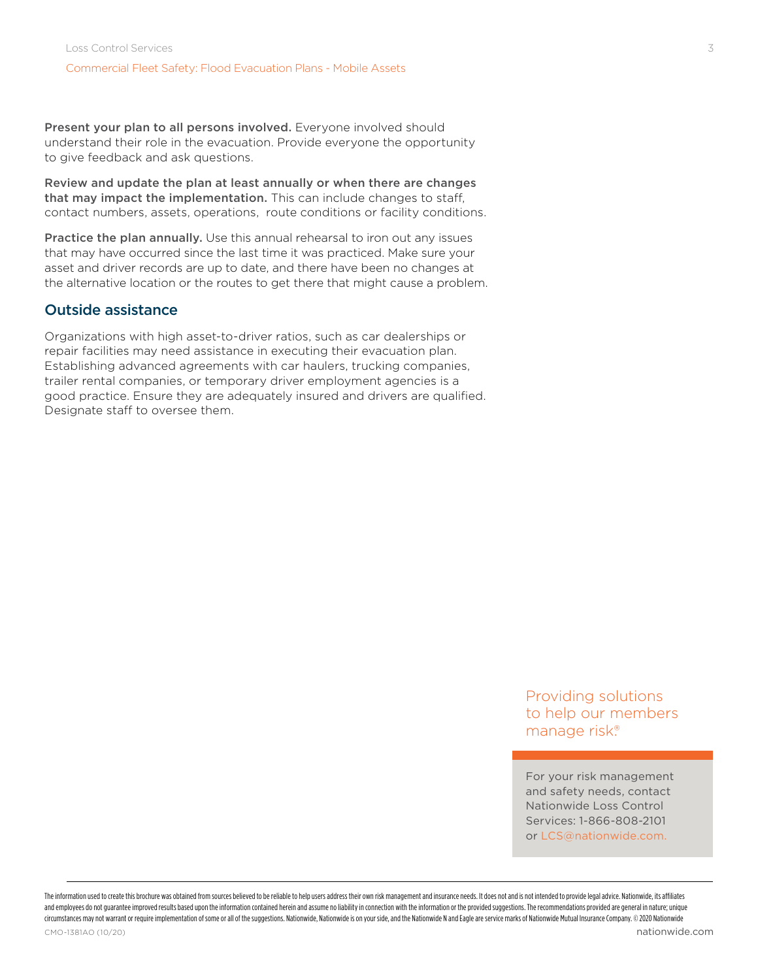Present your plan to all persons involved. Everyone involved should understand their role in the evacuation. Provide everyone the opportunity to give feedback and ask questions.

Review and update the plan at least annually or when there are changes that may impact the implementation. This can include changes to staff, contact numbers, assets, operations, route conditions or facility conditions.

Practice the plan annually. Use this annual rehearsal to iron out any issues that may have occurred since the last time it was practiced. Make sure your asset and driver records are up to date, and there have been no changes at the alternative location or the routes to get there that might cause a problem.

### Outside assistance

Organizations with high asset-to-driver ratios, such as car dealerships or repair facilities may need assistance in executing their evacuation plan. Establishing advanced agreements with car haulers, trucking companies, trailer rental companies, or temporary driver employment agencies is a good practice. Ensure they are adequately insured and drivers are qualified. Designate staff to oversee them.

> Providing solutions to help our members manage risk.®

For your risk management and safety needs, contact Nationwide Loss Control Services: 1-866-808-2101 or LCS@nationwide.com.

The information used to create this brochure was obtained from sources believed to be reliable to help users address their own risk management and insurance needs. It does not and is not intended to provide legal advice. N and employees do not guarantee improved results based upon the information contained herein and assume no liability in connection with the information or the provided suggestions. The recommendations provided are general i circumstances may not warrant or require implementation of some or all of the suggestions. Nationwide, Nationwide is on your side, and the Nationwide N and Eagle are service marks of Nationwide Insurance Company. © 2020 Na